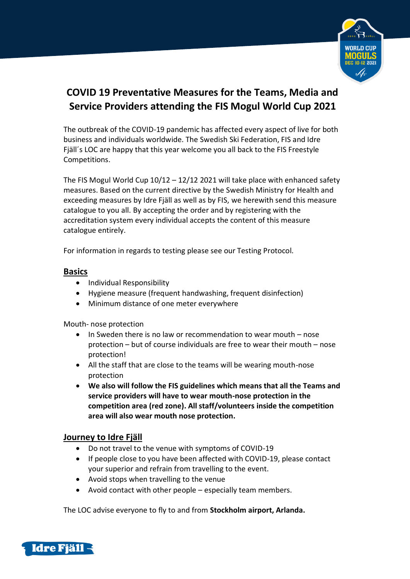

# **COVID 19 Preventative Measures for the Teams, Media and Service Providers attending the FIS Mogul World Cup 2021**

The outbreak of the COVID-19 pandemic has affected every aspect of live for both business and individuals worldwide. The Swedish Ski Federation, FIS and Idre Fjäll´s LOC are happy that this year welcome you all back to the FIS Freestyle Competitions.

The FIS Mogul World Cup  $10/12 - 12/12$  2021 will take place with enhanced safety measures. Based on the current directive by the Swedish Ministry for Health and exceeding measures by Idre Fjäll as well as by FIS, we herewith send this measure catalogue to you all. By accepting the order and by registering with the accreditation system every individual accepts the content of this measure catalogue entirely.

For information in regards to testing please see our Testing Protocol.

### **Basics**

- Individual Responsibility
- Hygiene measure (frequent handwashing, frequent disinfection)
- Minimum distance of one meter everywhere

Mouth- nose protection

- In Sweden there is no law or recommendation to wear mouth nose protection – but of course individuals are free to wear their mouth – nose protection!
- All the staff that are close to the teams will be wearing mouth-nose protection
- **We also will follow the FIS guidelines which means that all the Teams and service providers will have to wear mouth-nose protection in the competition area (red zone). All staff/volunteers inside the competition area will also wear mouth nose protection.**

# **Journey to Idre Fjäll**

- Do not travel to the venue with symptoms of COVID-19
- If people close to you have been affected with COVID-19, please contact your superior and refrain from travelling to the event.
- Avoid stops when travelling to the venue
- Avoid contact with other people especially team members.

The LOC advise everyone to fly to and from **Stockholm airport, Arlanda.**

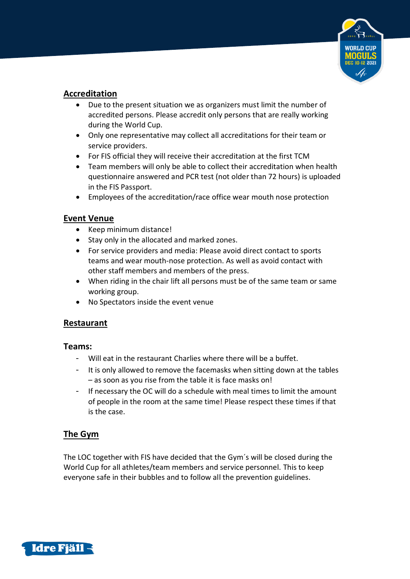

# **Accreditation**

- Due to the present situation we as organizers must limit the number of accredited persons. Please accredit only persons that are really working during the World Cup.
- Only one representative may collect all accreditations for their team or service providers.
- For FIS official they will receive their accreditation at the first TCM
- Team members will only be able to collect their accreditation when health questionnaire answered and PCR test (not older than 72 hours) is uploaded in the FIS Passport.
- Employees of the accreditation/race office wear mouth nose protection

# **Event Venue**

- Keep minimum distance!
- Stay only in the allocated and marked zones.
- For service providers and media: Please avoid direct contact to sports teams and wear mouth-nose protection. As well as avoid contact with other staff members and members of the press.
- When riding in the chair lift all persons must be of the same team or same working group.
- No Spectators inside the event venue

# **Restaurant**

#### **Teams:**

- Will eat in the restaurant Charlies where there will be a buffet.
- It is only allowed to remove the facemasks when sitting down at the tables – as soon as you rise from the table it is face masks on!
- If necessary the OC will do a schedule with meal times to limit the amount of people in the room at the same time! Please respect these times if that is the case.

# **The Gym**

The LOC together with FIS have decided that the Gym´s will be closed during the World Cup for all athletes/team members and service personnel. This to keep everyone safe in their bubbles and to follow all the prevention guidelines.